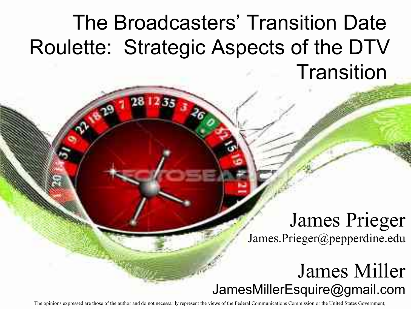#### The Broadcasters' Transition Date Roulette: Strategic Aspects of the DTV **Transition**

#### James Prieger James.Prieger@pepperdine.edu

#### James Miller JamesMillerEsquire@gmail.com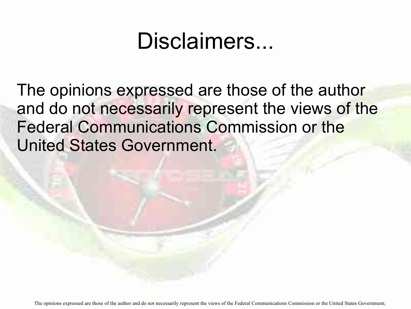#### Disclaimers...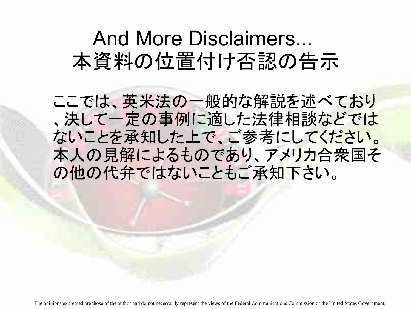#### And More Disclaimers... 本資料の位置付け否認の告示

ここでは、英米法の一般的な解説を述べており 、決して一定の事例に適した法律相談などでは ないことを承知した上で、ご参考にしてください。 本人の見解によるものであり、アメリカ合衆国そ の他の代弁ではないこともご承知下さい。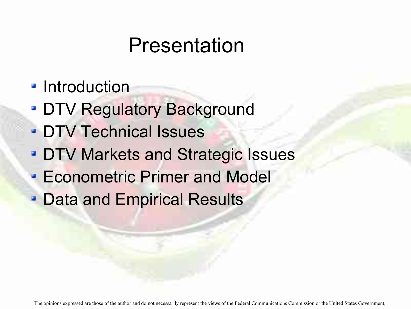#### Presentation

- **Introduction**
- **DTV Regulatory Background**
- **DTV Technical Issues**
- **DTV Markets and Strategic Issues**
- Econometric Primer and Model ø
- Data and Empirical Results ø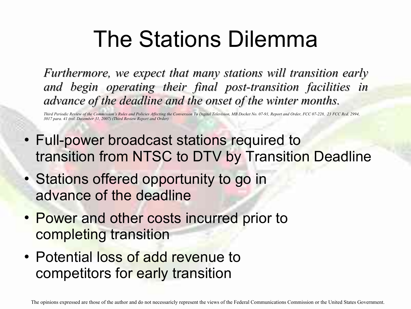#### The Stations Dilemma

*Furthermore, we expect that many stations will transition early and begin operating their final post-transition facilities in advance of the deadline and the onset of the winter months.*

*Third Periodic Review of the Commission's Rules and Policies Affecting the Conversion To Digital Television, MB Docket No. 07-91, Report and Order, FCC 07-228, 23 FCC Rcd. 2994, 3017 para. 41 (rel. December 31, 2007) (Third Review Report and Order)*

- Full-power broadcast stations required to transition from NTSC to DTV by Transition Deadline
- Stations offered opportunity to go in advance of the deadline
- Power and other costs incurred prior to completing transition
- Potential loss of add revenue to competitors for early transition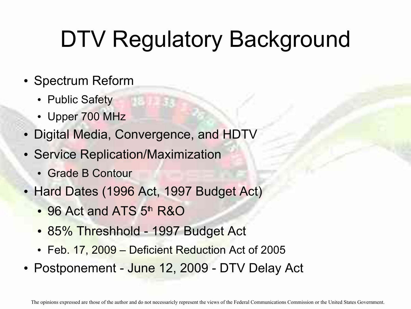## DTV Regulatory Background

- Spectrum Reform
	- Public Safety
	- Upper 700 MHz
- Digital Media, Convergence, and HDTV
- Service Replication/Maximization
	- Grade B Contour
- Hard Dates (1996 Act, 1997 Budget Act)
	- 96 Act and ATS 5<sup>th</sup> R&O
	- 85% Threshhold 1997 Budget Act
	- Feb. 17, 2009 Deficient Reduction Act of 2005
- Postponement June 12, 2009 DTV Delay Act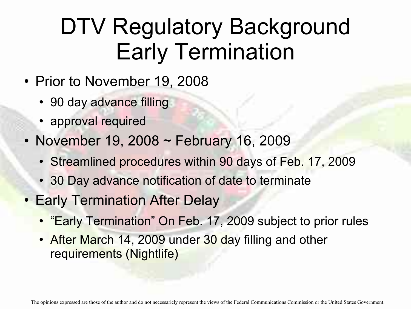#### DTV Regulatory Background Early Termination

- Prior to November 19, 2008
	- 90 day advance filling
	- approval required
- November 19, 2008 ~ February 16, 2009
	- Streamlined procedures within 90 days of Feb. 17, 2009
	- 30 Day advance notification of date to terminate
- **Early Termination After Delay** 
	- "Early Termination" On Feb. 17, 2009 subject to prior rules
	- After March 14, 2009 under 30 day filling and other requirements (Nightlife)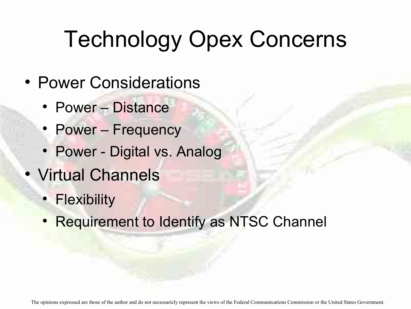# Technology Opex Concerns

- Power Considerations
	- Power Distance
	- Power Frequency
	- Power Digital vs. Analog
- Virtual Channels
	- Flexibility
	- Requirement to Identify as NTSC Channel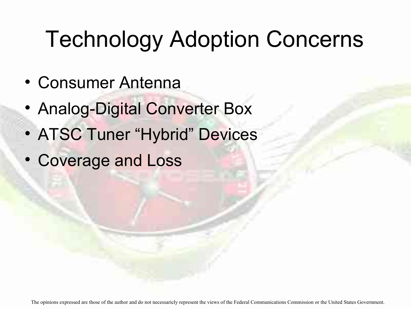# Technology Adoption Concerns

- Consumer Antenna
- Analog-Digital Converter Box
- ATSC Tuner "Hybrid" Devices
- Coverage and Loss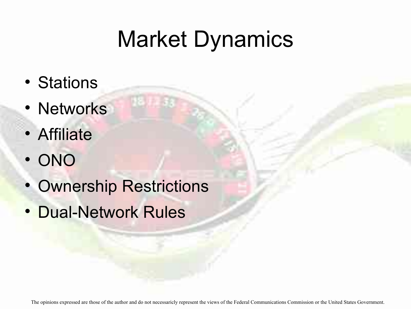### Market Dynamics

- Stations
- Networks
- Affiliate
- ONO
- Ownership Restrictions
- Dual-Network Rules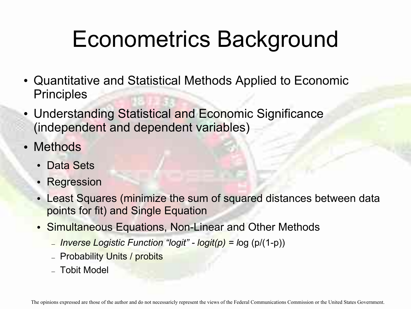#### Econometrics Background

- Quantitative and Statistical Methods Applied to Economic **Principles**
- Understanding Statistical and Economic Significance (independent and dependent variables)
- Methods
	- Data Sets
	- Regression
	- Least Squares (minimize the sum of squared distances between data points for fit) and Single Equation
	- Simultaneous Equations, Non-Linear and Other Methods
		- *Inverse Logistic Function "logit" logit(p) = l*og (p/(1-p))
		- Probability Units / probits
		- Tobit Model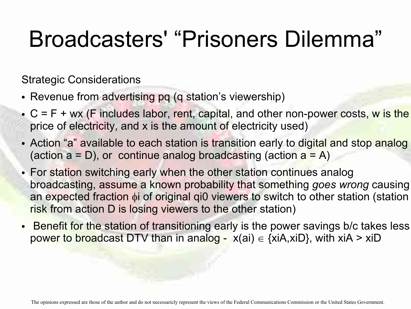#### Broadcasters' "Prisoners Dilemma"

Strategic Considerations

- Revenue from advertising pq (q station's viewership)
- $\bullet$  C = F + wx (F includes labor, rent, capital, and other non-power costs, w is the price of electricity, and x is the amount of electricity used)
- Action "a" available to each station is transition early to digital and stop analog (action  $a = D$ ), or continue analog broadcasting (action  $a = A$ )
- For station switching early when the other station continues analog broadcasting, assume a known probability that something *goes wrong* causing an expected fraction  $\phi$  i of original gi0 viewers to switch to other station (station risk from action D is losing viewers to the other station)
- Benefit for the station of transitioning early is the power savings b/c takes less power to broadcast DTV than in analog -  $x(ai) \in \{xi, x \in D\}$ , with  $x i A > x i D$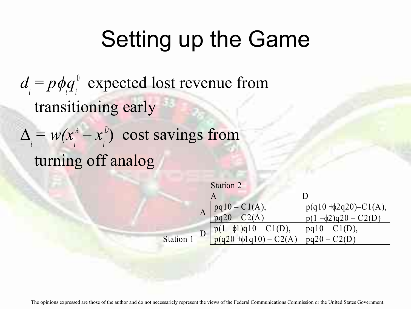*d i*  $= p \phi_q$ *i*  $\delta$  expected lost revenue from transitioning early  $\Delta$ *i*  $= w(x)$ *i*  $A - x$ *i D*) cost savings from turning off analog

| Station 2                                                |                               |
|----------------------------------------------------------|-------------------------------|
|                                                          |                               |
| $pq10 - C1(A),$<br>$pq20 - C2(A)$                        | $p(q10 + \phi 2q20) - C1(A),$ |
|                                                          | $p(1-\phi^2)q(20-C(2))$       |
| $p(1-\phi1)q10 - C1(D),$<br>$p(q20 + \phi1q10) - C2(A))$ | $pq10 - C1(D)$ ,              |
|                                                          | $pq20 - C2(D)$                |

Station 1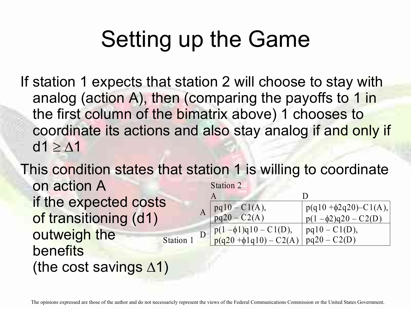If station 1 expects that station 2 will choose to stay with analog (action A), then (comparing the payoffs to 1 in the first column of the bimatrix above) 1 chooses to coordinate its actions and also stay analog if and only if  $d1 \geq \Lambda$ 1

This condition states that station 1 is willing to coordinate on action A if the expected costs of transitioning (d1) outweigh the benefits (the cost savings  $\Delta$ 1) Station 2 A D Station 1 A  $pq10 - C1(A),$  $pq20 - C2(A)$  $p(q10 + \phi 2q20) - C1(A),$  $p(1 - \phi^2)q(20 - C(2))$ D<sub>1</sub>  $p(1-\phi1)q10 - C1(D),$  $p(q20 + \phi1q10) - C2(A)$  $pq10 - C1(D)$ , pq20 – C2(D)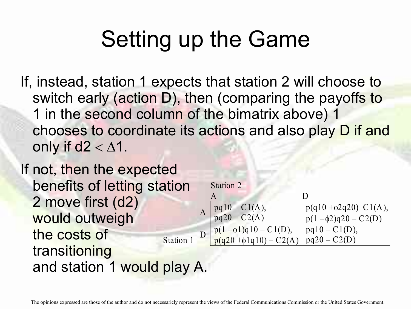If, instead, station 1 expects that station 2 will choose to switch early (action D), then (comparing the payoffs to 1 in the second column of the bimatrix above) 1 chooses to coordinate its actions and also play D if and only if  $d2 < \Delta1$ .

If not, then the expected benefits of letting station 2 move first (d2) would outweigh the costs of transitioning and station 1 would play A. Station 1 A D

| Station 2                    |                               |
|------------------------------|-------------------------------|
|                              |                               |
| $pq10 - C1(A),$              | $p(q10 + \phi 2q20) - C1(A),$ |
| $pq20 - C2(A)$               | $p(1-\phi^2)q(20-C(2))$       |
| $p(1-\phi 1)q10 - C1(D),$    | $pq10 - C1(D)$ ,              |
| $p(q20 + \phi 1q10) - C2(A)$ | $pq20 - C2(D)$                |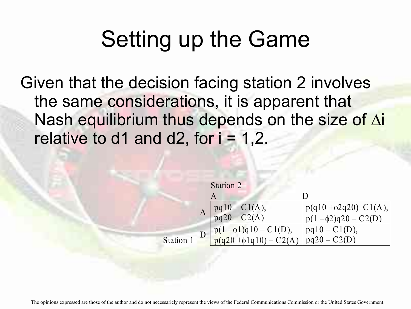Given that the decision facing station 2 involves the same considerations, it is apparent that Nash equilibrium thus depends on the size of  $\Delta i$ relative to d1 and d2, for  $i = 1,2$ .

|         | Station 2 |                                                          |                                                          |
|---------|-----------|----------------------------------------------------------|----------------------------------------------------------|
|         |           |                                                          | Ð                                                        |
|         |           | $pq10 - C1(A),$<br>$pq20 - C2(A)$                        | $p(q10 + \phi 2q20) - C1(A),$<br>$p(1-\phi^2)q(20-C(2))$ |
| Station |           | $p(1-\phi1)q10 - C1(D),$<br>$p(q20 + \phi1q10) - C2(A))$ | $pq10 - C1(D),$<br>$pq20 - C2(D)$                        |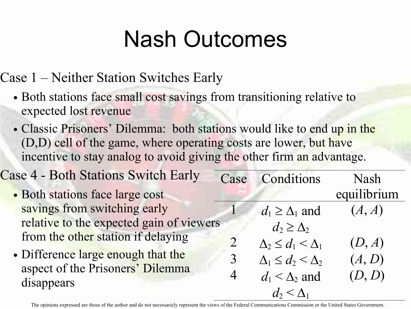#### Nash Outcomes

Case 1 – Neither Station Switches Early

- Both stations face small cost savings from transitioning relative to expected lost revenue
- Classic Prisoners' Dilemma: both stations would like to end up in the (D,D) cell of the game, where operating costs are lower, but have incentive to stay analog to avoid giving the other firm an advantage.

| <b>Case 4 - Both Stations Switch Early</b> | Case | Conditions                     | <b>Nash</b> |
|--------------------------------------------|------|--------------------------------|-------------|
| · Both stations face large cost            |      |                                | equilibrium |
| savings from switching early               |      | $d_1 \geq \Delta_1$ and        | (A, A)      |
| relative to the expected gain of viewers   |      | $d_2 \geq \Delta_2$            |             |
| from the other station if delaying         |      | $\Delta_2 \leq d_1 < \Delta_1$ | (D, A)      |
| • Difference large enough that the         |      | $\Delta_1 \leq d_2 < \Delta_2$ | (A, D)      |
| aspect of the Prisoners' Dilemma           |      | $d_1 < \Delta_2$ and           | (D, D)      |
| disappears                                 |      | $d_2 \leq \Delta_1$            |             |
|                                            |      |                                |             |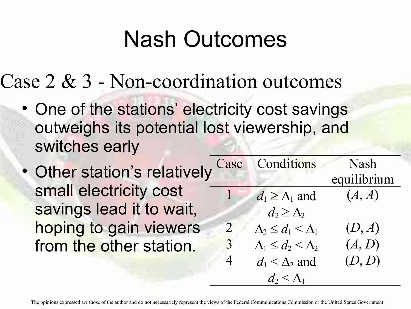#### Nash Outcomes

Case 2 & 3 - Non-coordination outcomes

- One of the stations' electricity cost savings outweighs its potential lost viewership, and switches early
- Other station's relatively small electricity cost savings lead it to wait hoping to gain viewer from the other station.

| ely      | Case | Conditions                     | <b>Nash</b> |
|----------|------|--------------------------------|-------------|
|          |      |                                | equilibrium |
|          |      | $d_1 \geq \Delta_1$ and        | (A, A)      |
| t,       |      | $d_2 \geq \Delta_2$            |             |
| <b>S</b> |      | $\Delta_2 \leq d_1 < \Delta_1$ | (D, A)      |
|          | 3    | $\Delta_1 \leq d_2 < \Delta_2$ | (A, D)      |
|          |      | $d_1 < \Delta_2$ and           | (D, D)      |
|          |      | $d_2 < \Delta_1$               |             |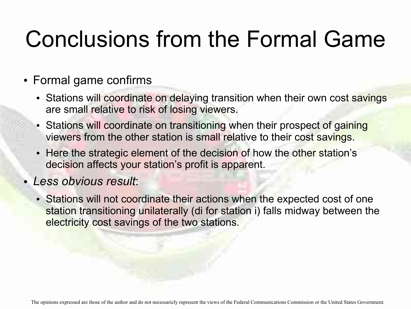### Conclusions from the Formal Game

#### Formal game confirms

- Stations will coordinate on delaying transition when their own cost savings are small relative to risk of losing viewers.
- Stations will coordinate on transitioning when their prospect of gaining viewers from the other station is small relative to their cost savings.
- Here the strategic element of the decision of how the other station's decision affects your station's profit is apparent.

#### *Less obvious result*:

• Stations will not coordinate their actions when the expected cost of one station transitioning unilaterally (di for station i) falls midway between the electricity cost savings of the two stations.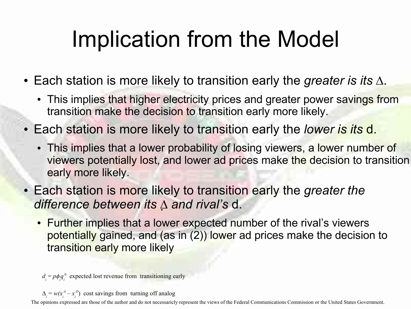## Implication from the Model

- $\bullet$  Each station is more likely to transition early the *greater is its*  $\Delta$ .
	- This implies that higher electricity prices and greater power savings from transition make the decision to transition early more likely.
- Each station is more likely to transition early the *lower is its* d.
	- This implies that a lower probability of losing viewers, a lower number of viewers potentially lost, and lower ad prices make the decision to transition early more likely.
- Each station is more likely to transition early the *greater the difference between its and rival's* d.
	- Further implies that a lower expected number of the rival's viewers potentially gained, and (as in (2)) lower ad prices make the decision to transition early more likely

 $d_i = p\phi_i q_i$ ı <sup>0</sup> expected lost revenue from transitioning early

 $\Delta_i = w(x_i)$  $A^A - x_i$ *D*) cost savings from turning off analog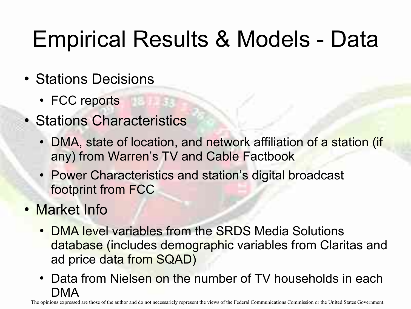# Empirical Results & Models - Data

- Stations Decisions
	- FCC reports
- Stations Characteristics
	- DMA, state of location, and network affiliation of a station (if any) from Warren's TV and Cable Factbook
	- Power Characteristics and station's digital broadcast footprint from FCC
- Market Info
	- DMA level variables from the SRDS Media Solutions database (includes demographic variables from Claritas and ad price data from SQAD)
	- Data from Nielsen on the number of TV households in each DMA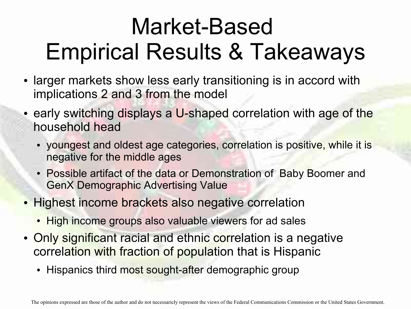### Market-Based Empirical Results & Takeaways

- larger markets show less early transitioning is in accord with implications 2 and 3 from the model
- early switching displays a U-shaped correlation with age of the household head
	- youngest and oldest age categories, correlation is positive, while it is negative for the middle ages
	- Possible artifact of the data or Demonstration of Baby Boomer and GenX Demographic Advertising Value
- Highest income brackets also negative correlation
	- High income groups also valuable viewers for ad sales
- Only significant racial and ethnic correlation is a negative correlation with fraction of population that is Hispanic
	- Hispanics third most sought-after demographic group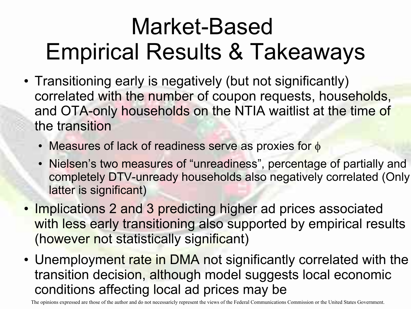#### Market-Based Empirical Results & Takeaways

- Transitioning early is negatively (but not significantly) correlated with the number of coupon requests, households, and OTA-only households on the NTIA waitlist at the time of the transition
	- Measures of lack of readiness serve as proxies for  $\phi$
	- Nielsen's two measures of "unreadiness", percentage of partially and completely DTV-unready households also negatively correlated (Only latter is significant)
- Implications 2 and 3 predicting higher ad prices associated with less early transitioning also supported by empirical results (however not statistically significant)
- Unemployment rate in DMA not significantly correlated with the transition decision, although model suggests local economic conditions affecting local ad prices may be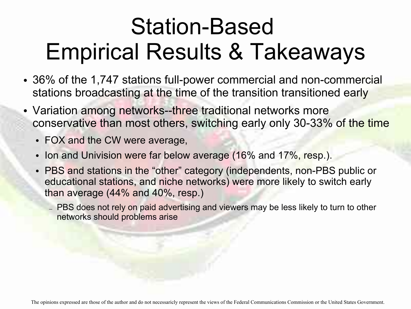#### Station-Based Empirical Results & Takeaways

- 36% of the 1,747 stations full-power commercial and non-commercial stations broadcasting at the time of the transition transitioned early
- Variation among networks--three traditional networks more conservative than most others, switching early only 30-33% of the time
	- FOX and the CW were average,
	- Ion and Univision were far below average (16% and 17%, resp.).
	- PBS and stations in the "other" category (independents, non-PBS public or educational stations, and niche networks) were more likely to switch early than average (44% and 40%, resp.)
		- PBS does not rely on paid advertising and viewers may be less likely to turn to other networks should problems arise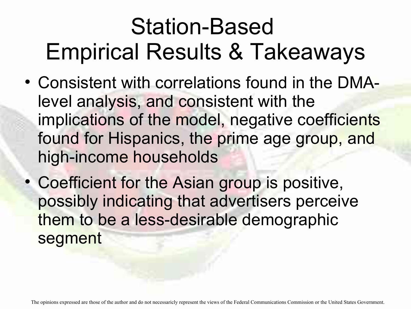#### Station-Based Empirical Results & Takeaways

- Consistent with correlations found in the DMAlevel analysis, and consistent with the implications of the model, negative coefficients found for Hispanics, the prime age group, and high-income households
- Coefficient for the Asian group is positive, possibly indicating that advertisers perceive them to be a less-desirable demographic segment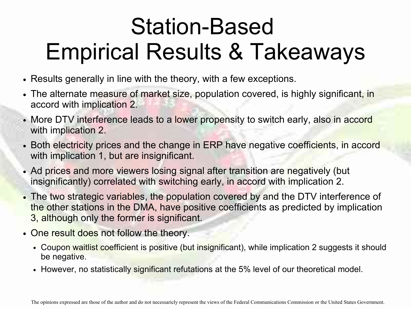### Station-Based Empirical Results & Takeaways

- Results generally in line with the theory, with a few exceptions.
- The alternate measure of market size, population covered, is highly significant, in accord with implication 2.
- More DTV interference leads to a lower propensity to switch early, also in accord with implication 2.
- Both electricity prices and the change in ERP have negative coefficients, in accord with implication 1, but are insignificant.
- Ad prices and more viewers losing signal after transition are negatively (but insignificantly) correlated with switching early, in accord with implication 2.
- The two strategic variables, the population covered by and the DTV interference of the other stations in the DMA, have positive coefficients as predicted by implication 3, although only the former is significant.
- One result does not follow the theory.
	- . Coupon waitlist coefficient is positive (but insignificant), while implication 2 suggests it should be negative.
	- However, no statistically significant refutations at the 5% level of our theoretical model.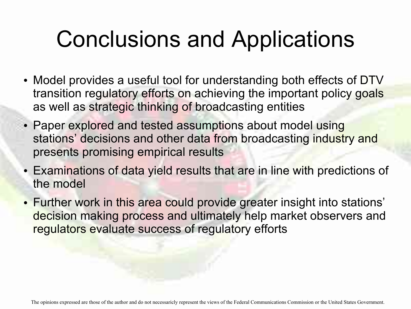#### Conclusions and Applications

- Model provides a useful tool for understanding both effects of DTV transition regulatory efforts on achieving the important policy goals as well as strategic thinking of broadcasting entities
- Paper explored and tested assumptions about model using stations' decisions and other data from broadcasting industry and presents promising empirical results
- Examinations of data yield results that are in line with predictions of the model
- Further work in this area could provide greater insight into stations' decision making process and ultimately help market observers and regulators evaluate success of regulatory efforts